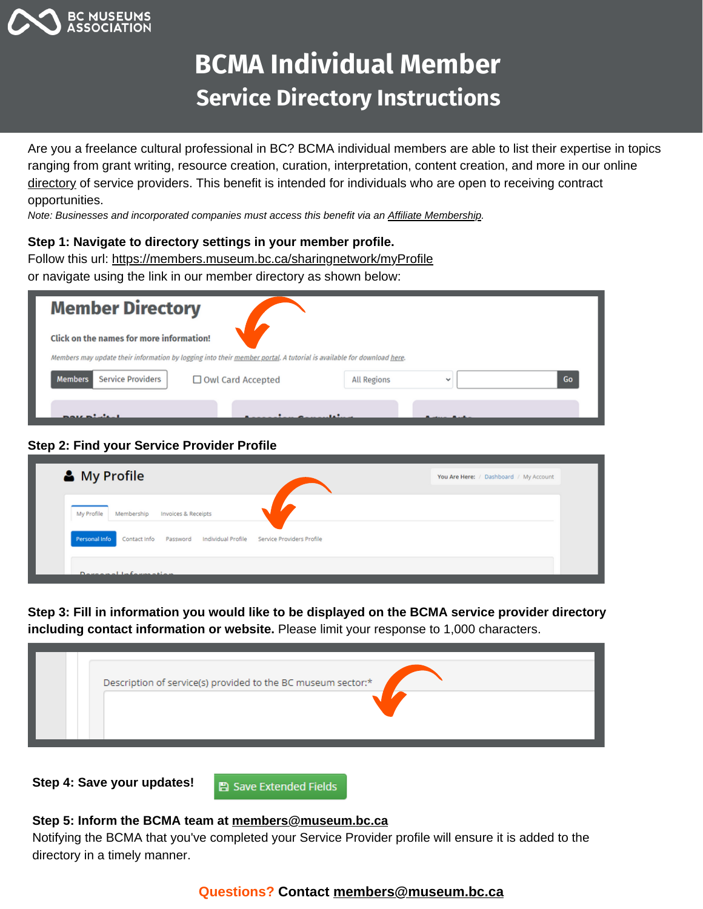

# **BCMA Individual Member Service Directory Instructions**

Are you a freelance cultural professional in BC? BCMA individual members are able to list their expertise in topics ranging from grant writing, resource creation, curation, interpretation, content creation, and more in our online [directory](https://museum.bc.ca/directory/) of service providers. This benefit is intended for individuals who are open to receiving contract opportunities.

*Note: Businesses and incorporated companies must access this benefit via an [Affiliate Membership.](https://museum.bc.ca/membership/affiliate-membership/)* 

### **Step 1: Navigate to directory settings in your member profile.**

Follow this url: <https://members.museum.bc.ca/sharingnetwork/myProfile>

or navigate using the link in our member directory as shown below:

| <b>Member Directory</b>                    |                                                                                                                      |                    |              |    |
|--------------------------------------------|----------------------------------------------------------------------------------------------------------------------|--------------------|--------------|----|
| Click on the names for more information!   |                                                                                                                      |                    |              |    |
|                                            | Members may update their information by logging into their member portal. A tutorial is available for download here. |                    |              |    |
| <b>Service Providers</b><br><b>Members</b> | □ Owl Card Accepted                                                                                                  | <b>All Regions</b> | $\checkmark$ | Go |
| mote minimum                               |                                                                                                                      |                    |              |    |

### **Step 2: Find your Service Provider Profile**

| & My Profile                                                                        | You Are Here: / Dashboard / My Account |
|-------------------------------------------------------------------------------------|----------------------------------------|
| My Profile<br>Membership<br><b>Invoices &amp; Receipts</b>                          |                                        |
| Personal Info<br>Contact Info Password Individual Profile Service Providers Profile |                                        |
| Doveninal Information                                                               |                                        |

**Step 3: Fill in information you would like to be displayed on the BCMA service provider directory including contact information or website.** Please limit your response to 1,000 characters.

| Description of service(s) provided to the BC museum sector:* |
|--------------------------------------------------------------|
|                                                              |
|                                                              |

**Step 4: Save your updates!**

**A** Save Extended Fields

### **Step 5: Inform the BCMA team at [members@museum.bc.ca](mailto:members@museum.bc.ca)**

Notifying the BCMA that you've completed your Service Provider profile will ensure it is added to the directory in a timely manner.

### **Questions? Contact [members@museum.bc.ca](mailto:members@museum.bc.ca)**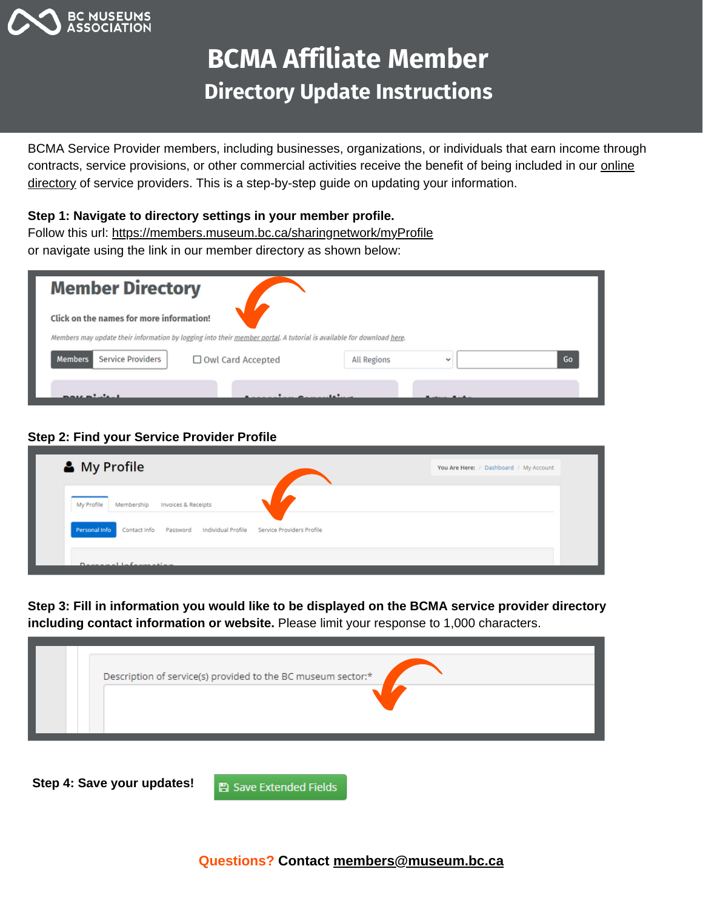

# **BCMA Affiliate Member Directory Update Instructions**

BCMA Service Provider members, including businesses, organizations, or individuals that earn income through contracts, service provisions, or other commercial activities receive the benefit of being included in our online directory of service providers. This is a [step-by-step](https://museum.bc.ca/directory/) guide on updating your information.

**Step 1: Navigate to directory settings in your member profile.**

Follow this url: <https://members.museum.bc.ca/sharingnetwork/myProfile> or navigate using the link in our member directory as shown below:

| <b>Member Directory</b>                                                                                              |                                                      |
|----------------------------------------------------------------------------------------------------------------------|------------------------------------------------------|
| Click on the names for more information!                                                                             |                                                      |
| Members may update their information by logging into their member portal. A tutorial is available for download here. |                                                      |
| <b>Service Providers</b><br><b>Members</b><br>Owl Card Accepted                                                      | Go<br><b>All Regions</b><br>$\overline{\phantom{a}}$ |
|                                                                                                                      |                                                      |

## **Step 2: Find your Service Provider Profile**

| & My Profile                                                                     | You Are Here: / Dashboard / My Account |
|----------------------------------------------------------------------------------|----------------------------------------|
| My Profile<br>Membership<br>Invoices & Receipts                                  |                                        |
| Personal Info Contact Info Password Individual Profile Service Providers Profile |                                        |
| Development to former without                                                    |                                        |

**Step 3: Fill in information you would like to be displayed on the BCMA service provider directory including contact information or website.** Please limit your response to 1,000 characters.

|  |  | Description of service(s) provided to the BC museum sector:* |
|--|--|--------------------------------------------------------------|
|--|--|--------------------------------------------------------------|

**Step 4: Save your updates!**

**图 Save Extended Fields**